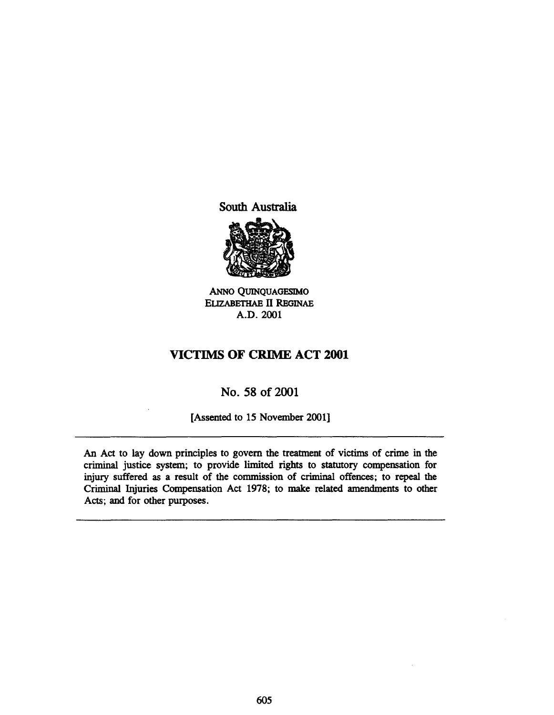South Australia



ANNo QUINQUAGESlMO ELIZABETHAE II REGINAE A.D.2001

## VICTIMS OF CRIME ACT 2001

## No. 58 of 2001

(Assented to 15 November 2001]

An Act to lay down principles to govern the treatment of victims of crime in the criminal justice system; to provide limited rights to statutory compensation for injury suffered as a result of the commission of criminal offences; to repeal the Criminal Injuries Compensation Act 1978; to make related amendments to other Acts; and for other purposes.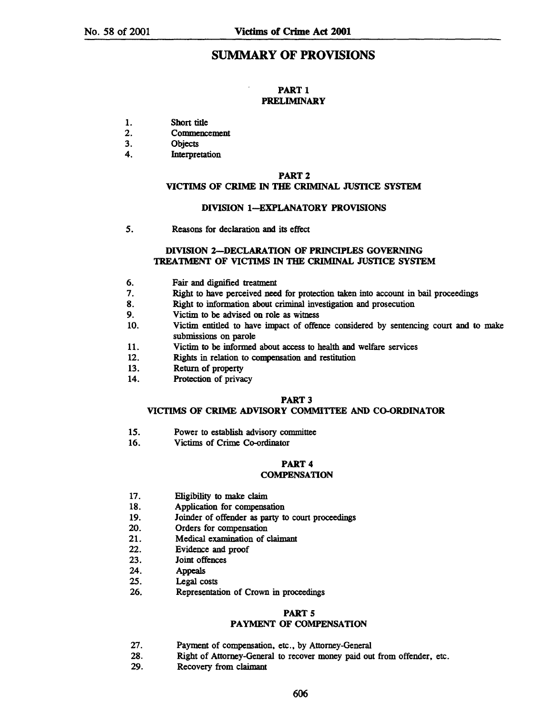## SUMMARY OF PROVISIONS

#### PART<sub>1</sub> PRELIMINARY

- 1. Short title
- 2. Commencement
- 3. Objects
- 4. Interpretation

#### PART 2

### VICTIMS OF CRIME IN THE CRIMINAL JUSTICE SYSTEM

#### DIVISION I-EXPLANATORY PROVISIONS

5. Reasons for declaration and its effect

### DIVISION 2-DECLARATION OF PRINCIPLES GOVERNING TREATMENT OF VICTIMS IN THE CRIMINAL JUSTICE SYSTEM

- 6. Fair and dignified treatment
- 7. Right to have perceived need for protection taken into account in bail proceedings
- 8. Right to information about criminal investigation and prosecution
- 9. Victim to be advised on role as witness
- 10. Victim entitled to have impact of offence considered by sentencing court and to make submissions on parole
- 11. Victim to be informed about access to health and welfare services
- 12. Rights in relation to compensation and restitution
- 13. Return of property
- 14. Protection of privacy

#### PART 3

#### VICTIMS OF CRIME ADVISORY COMMITTEE AND CO-ORDINATOR

- 15. Power to establish advisory committee
- 16. Victims of Crime Co-ordinator

### PART 4

#### **COMPENSATION**

- 17. Eligibility to make claim
- 18. Application for compensation
- 19. Joinder of offender as party to court proceedings
- 20. Orders for compensation
- 21. Medical examination of claimant
- 22. Evidence and proof
- 23. Joint offences
- 24. Appeals
- 25. Legal costs
- 26. Representation of Crown in proceedings

### PART 5

### PAYMENT OF COMPENSATION

- 27. Payment of compensation, etc., by Attorney-General
- 28. Right of Attorney-General to recover money paid out from offender. etc.
- 29. Recovery from claimant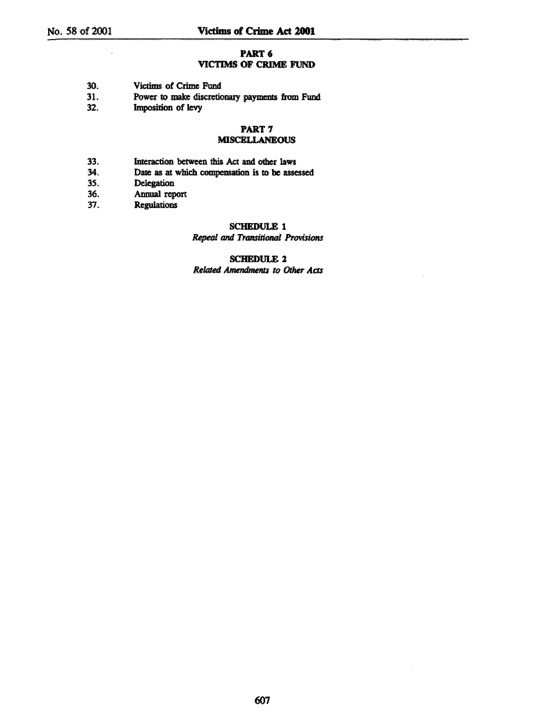#### PART<sub>6</sub>

### VICTIMS OF CRIME FUND

- 30. Victims of Crime Fund<br>31. Power to make discretic
- Power to make discretionary payments from Fund
- 32. **Imposition of levy**

## PART<sub>7</sub>

## **MISCELLANEOUS**

- 33. Interaction between this Act and other laws
- 34. Date as at which compensation is to be assessed<br>35. Delegation
- *3S.* Delegation
- 36. Annual report<br>37. Regulations
- **Regulations**

# SCHEDULE 1

#### **Repeal and Transitional Provisions**

### SCHEDULE 2 Related Amendments to Other Acts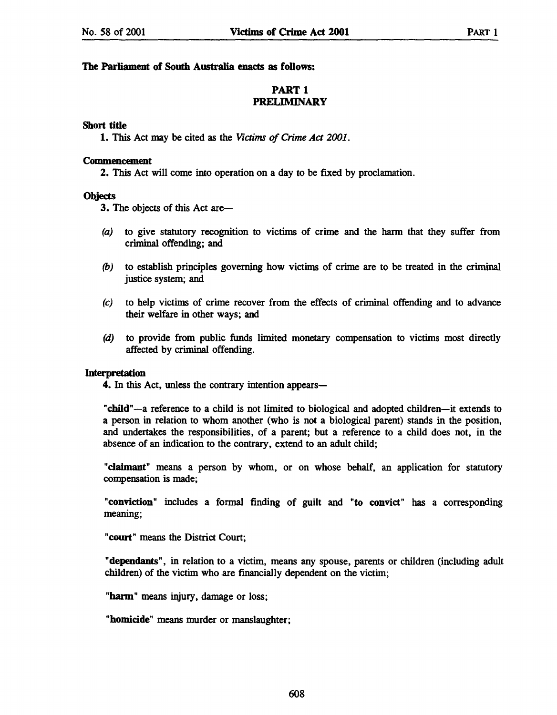### The Parliament of South Australia enacts as follows:

### PART 1 PRELIMINARY

### Short title

1. This Act may be cited as the *Victims of Crime Act 2001.* 

#### **Commencement**

2. This Act will come into operation on a day to be fixed by proclamation.

### **Objects**

3. The objects of this Act are-

- (a) to give statutory recognition to victims of crime and the harm that they suffer from criminal offending; and
- *(b)* to establish principles governing how victims of crime are to be treated in the criminal justice system; and
- (e) to help victims of crime recover from the effects of criminal offending and to advance their welfare in other ways; and
- (d) to provide from public funds limited monetary compensation to victims most directly affected by criminal offending.

### Interpretation

4. In this Act, unless the contrary intention appears—

"child" -a reference to a child is not limited to biological and adopted children-it extends to a person in relation to whom another (who is not a biological parent) stands in the position, and undertakes the responsibilities, of a parent; but a reference to a child does not, in the absence of an indication to the contrary, extend to an adult child;

"claimant" means a person by whom, or on whose behalf, an application for statutory compensation is made;

"conviction" includes a formal finding of guilt and "to convict" has a corresponding meaning;

"court" means the District Court;

"dependants", in relation to a victim, means any spouse, parents or children (including adult children) of the victim who are fmancially dependent on the victim;

"harm" means injury, damage or loss;

"homicide" means murder or manslaughter;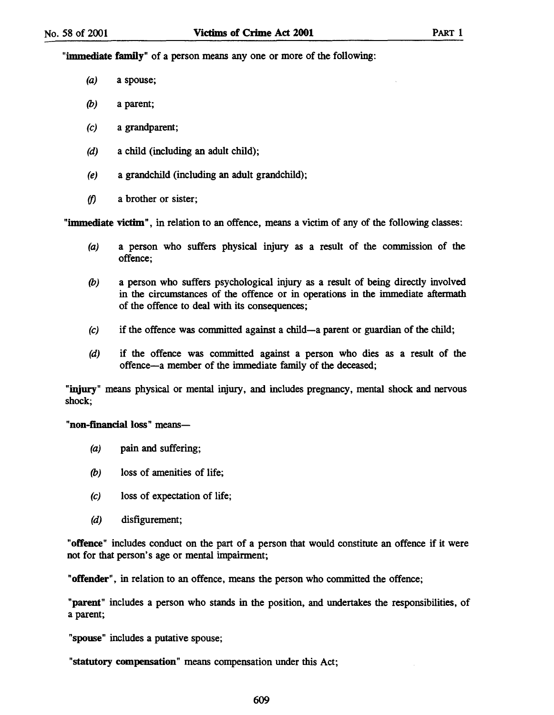"immediate family" of a person means anyone or more of the following:

- (a) a spouse;
- (b) a parent;
- (c) a grandparent;
- (d) a child (including an adult child);
- (e) a grandchild (including an adult grandchild);
- *(f)* a brother or sister;

"immediate victim", in relation to an offence, means a victim of any of the following classes:

- (a) a person who suffers physical injury as a result of the commission of the offence;
- (b) a person who suffers psychological injury as a result of being directly involved in the circumstances of the offence or in operations in the immediate aftermath of the offence to deal with its consequences;
- $(c)$  if the offence was committed against a child-a parent or guardian of the child;
- (d) if the offence was committed against a person who dies as a result of the offence-a member of the immediate family of the deceased;

"injury" means physical or mental injury, and includes pregnancy, mental shock and nervous shock;

"non-financial loss" means-

- (a) pain and suffering;
- (b) loss of amenities of life;
- (c) loss of expectation of life;
- (d) disfigurement;

"offence" includes conduct on the part of a person that would constitute an offence if it were not for that person's age or mental impairment;

"offender", in relation to an offence, means the person who committed the offence;

"parent" includes a person who stands in the position, and undertakes the responsibilities, of a parent;

"spouse" includes a putative spouse;

"statutory compensation" means compensation under this Act;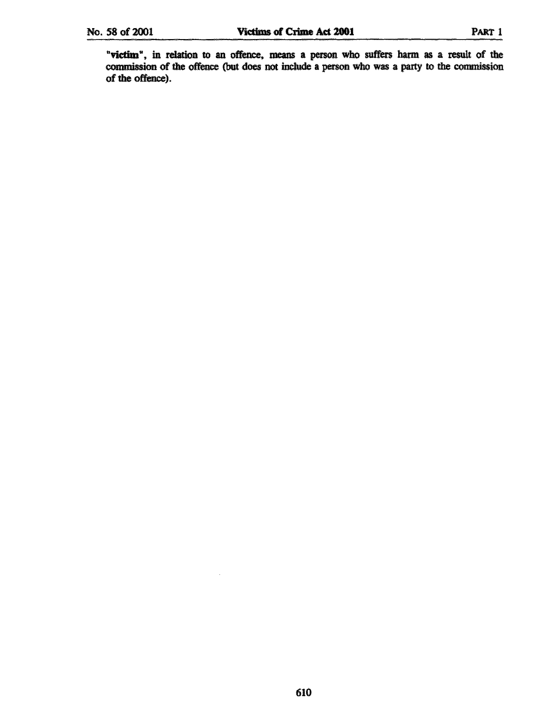"victim", in relation to an offence, means a person who suffers harm as a result of the commission of the offence (but does not include a person who was a party to the commission of the offence).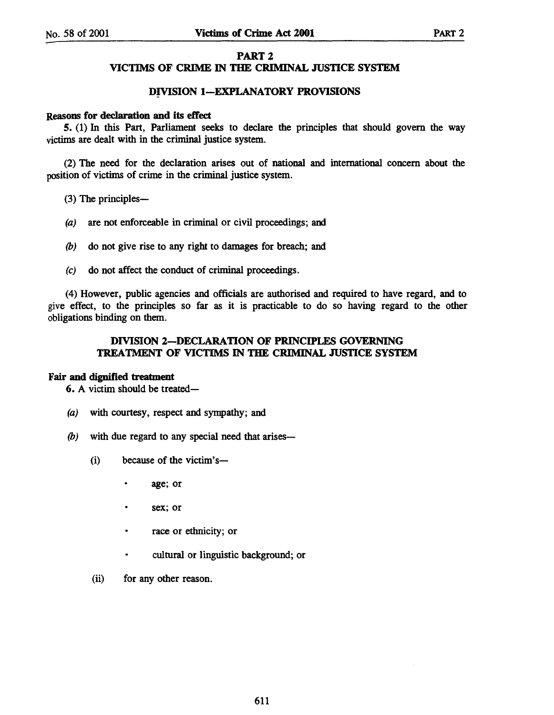### PART 2

### VICTIMS OF CRIME IN THE CRIMINAL JUSTICE SYSTEM

### DIVISION I-EXPLANATORY PROVISIONS

#### Reasons for declaration and its effect

5. (1) In this Part, Parliament seeks to declare the principles that should govern the way victims are dealt with in the criminal justice system.

(2) The need for the declaration arises out of national and international concern about the position of victims of crime in the criminal justice system.

- (3) The principles-
- (a) are not enforceable in criminal or civil proceedings; and
- (b) do not give rise to any right to damages for breach; and
- (c) do not affect the conduct of criminal proceedings.

(4) However, public agencies and officials are authorised and required to have regard, and to give effect, to the principles so far as it is practicable to do so having regard to the other obligations binding on them.

### DIVISION 2-DECLARATION OF PRINCIPLES GOVERNING TREATMENT OF VICTIMS IN THE CRIMINAL JUSTICE SYSTEM

#### Fair and dignified treatment

6. A victim should be treated-

- (a) with courtesy, respect and sympathy; and
- $(b)$  with due regard to any special need that arises-
	- (i) because of the victim's
		- age; or
		- sex; or
		- race or ethnicity; or
		- cultural or linguistic background; or
	- (ii) for any other reason.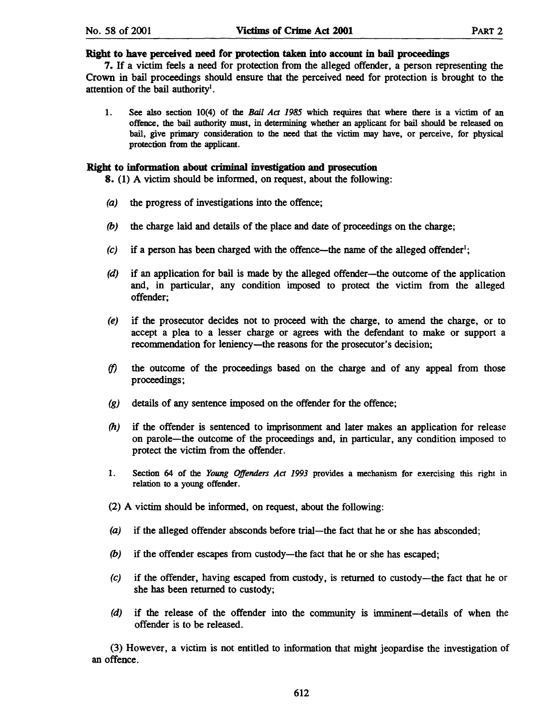#### Right to have perceived need for protection taken into account in bail proceedings

7. If a victim feels a need for protection from the alleged offender, a person representing the Crown in bail proceedings should ensure that the perceived need for protection is brought to the attention of the bail authority<sup>1</sup>.

1. See also section 10(4) of the *Bail Act* 1985 which requires that where there is a victim of an offence, the bail authority must, in determining whether an applicant for bail should be released on bail, give primary consideration to the need that the victim may have, or perceive, for physical protection from the applicant.

#### Right to information about crimjnal investigation and prosecution

8. (1) A victim should be infonned, on request, about the following:

- (a) the progress of investigations into the offence;
- (b) the charge laid and details of the place and date of proceedings on the charge;
- $(c)$  if a person has been charged with the offence—the name of the alleged offender<sup>1</sup>;
- (d) if an application for bail is made by the alleged offender—the outcome of the application and, in particular, any condition imposed to protect the victim from the alleged offender;
- (e) if the prosecutor decides not to proceed with the charge, to amend the charge, or to accept a plea to a lesser charge or agrees with the defendant to make or support a recommendation for leniency-the reasons for the prosecutor's decision;
- *(f)* the outcome of the proceedings based on the charge and of any appeal from those proceedings;
- (g) details of any sentence imposed on the offender for the offence;
- *(h)* if the offender is sentenced to imprisonment and later makes an application for release on parole-the outcome of the proceedings and, in particular, any condition imposed to protect the victim from the offender.
- 1. Section 64 of the *Young Offenders Act* 1993 provides a mechanism for exercising this right in relation to a young offender.
- (2) A victim should be infonned, on request, about the following:
- (a) if the alleged offender absconds before trial—the fact that he or she has absconded;
- (b) if the offender escapes from custody—the fact that he or she has escaped;
- (e) if the offender, having escaped from custody, is returned to custody-the fact that he or she has been returned to custody;
- (d) if the release of the offender into the community is imminent-details of when the offender is to be released.

(3) However, a victim is not entitled to information that might jeopardise the investigation of an offence.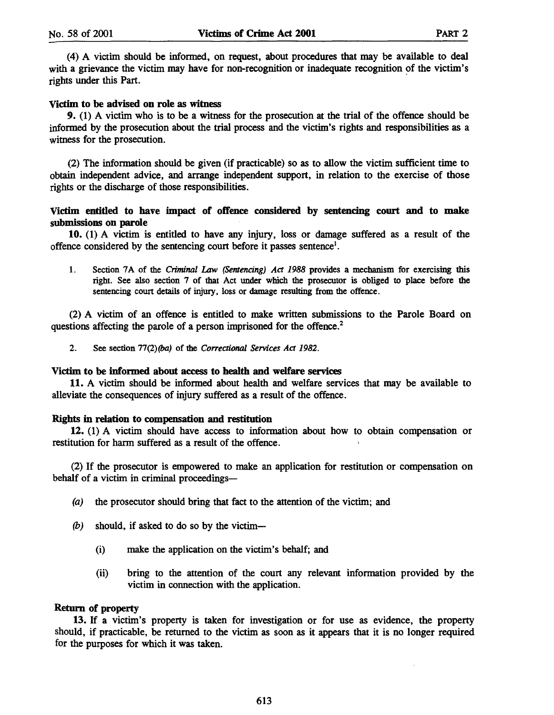(4) A victim should be informed, on request, about procedures that may be available to deal with a grievance the victim may have for non-recognition or inadequate recognition of the victim's rights under this Part.

#### Victim to be advised on role as witness

9. (1) A victim who is to be a witness for the prosecution at the trial of the offence should be informed by the prosecution about the trial process and the victim's rights and responsibilities as a witness for the prosecution.

(2) The information should be given (if practicable) so as to allow the victim sufficient time to obtain independent advice, and arrange independent support, in relation to the exercise of those rights or the discharge of those responsibilities.

### Victim entitled to have impact of offence considered by sentencing court and to make submissions on parole

10. (1) A victim is entitled to have any injury, loss or damage suffered as a result of the offence considered by the sentencing court before it passes sentence<sup>1</sup>.

1. Section 7A of the Criminal Law (Sentencing) Act 1988 provides a mechanism for exercising this right. See also section 7 of that Act under which the prosecutor is obliged to place before the sentencing court details of injury. loss or damage resulting from the offence.

(2) A victim of an offence is entitled to make written submissions to the Parole Board on questions affecting the parole of a person imprisoned for the offence.<sup>2</sup>

2. See section 77(2)(ba) of the Correctional Services Act 1982.

### Victim to be informed about access to health and welfare services

11. A victim should be informed about health and welfare services that may be available to alleviate the consequences of injury suffered as a result of the offence.

#### Rights in relation to compensation and restitution

12. (1) A victim should have access to information about how to obtain compensation or restitution for harm suffered as a result of the offence.

(2) If the prosecutor is empowered to make an application for restitution or compensation on behalf of a victim in criminal proceedings-

- (a) the prosecutor should bring that fact to the attention of the victim; and
- (b) should, if asked to do so by the victim-
	- (i) make the application on the victim's behalf; and
	- (ii) bring to the attention of the court any relevant information provided by the victim in connection with the application.

#### Return of property

13. If a victim's property is taken for investigation or for use as evidence, the property should, if practicable, be returned to the victim as soon as it appears that it is no longer required for the purposes for which it was taken.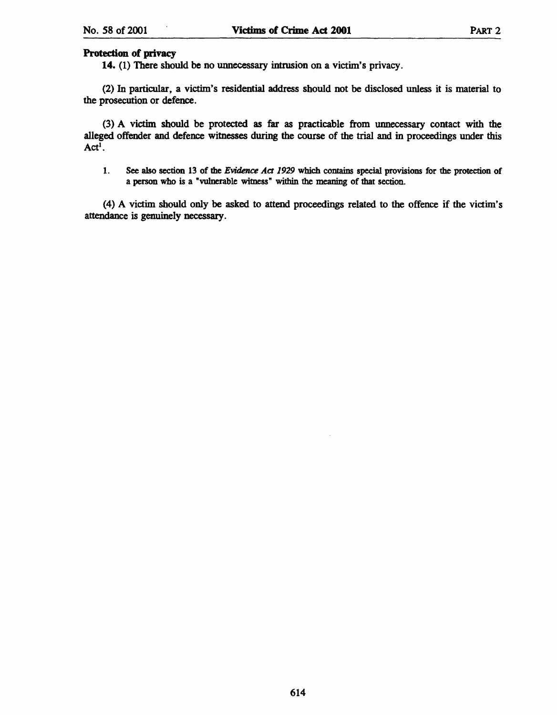### Protection of privacy

14. (1) There should be no unnecessary intrusion on a victim's privacy.

(2) In particular, a victim's residential address should not be disclosed unless it is material to the prosecution or defence.

(3) A victim should be protected as far as practicable from unnecessary contact with the alleged offender and defence witnesses during the course of the trial and in proceedings under this  $Act^{\overline{1}}$ .

1. See also section 13 of the *Evidence Act 1929* which contains special provisions for the protection of a person who is a "vulnerable witness" within the meaning of that section.

(4) A victim should only be asked to attend proceedings related to the offence if the victim's attendance is genuinely necessary.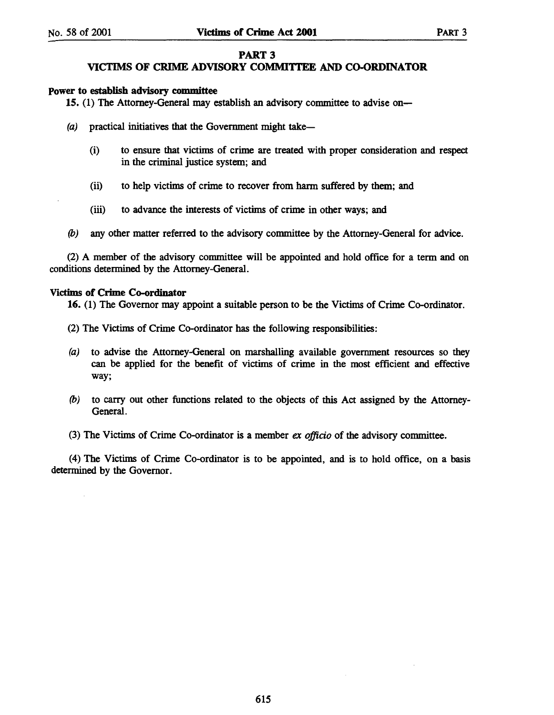### PART 3

### VICTIMS OF CRIME ADVISORY COMMITTEE AND CO-ORDINATOR

### power to establish advisory committee

15. (1) The Attorney-General may establish an advisory committee to advise on-

- $(a)$  practical initiatives that the Government might take-
	- (i) to ensure that victims of crime are treated with proper consideration and respect in the criminal justice system; and
	- (ii) to help victims of crime to recover from harm suffered by them; and
	- (iii) to advance the interests of victims of crime in other ways; and
- (b) any other matter referred to the advisory committee by the Attorney-General for advice.

(2) A member of the advisory committee will be appointed and hold office for a term and on conditions determined by the Attorney-General.

#### Victims of Crime Co-ordinator

16. (1) The Governor may appoint a suitable person to be the Victims of Crime Co-ordinator.

- (2) The Victims of Crime Co-ordinator has the following responsibilities:
- (a) to advise the Attorney-General on marshalling available government resources so they can be applied for the benefit of victims of crime in the most efficient and effective way;
- (b) to carry out other functions related to the objects of this Act assigned by the Attorney-General.

(3) The Victims of Crime Co-ordinator is a member *ex officio* of the advisory committee.

(4) The Victims of Crime Co-ordinator is to be appointed, and is to hold office, on a basis determined by the Governor.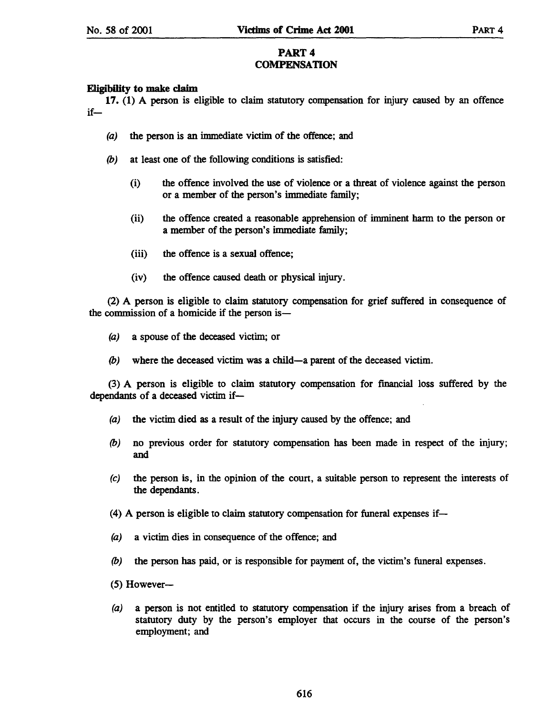### PART 4 **COMPENSATION**

### E1igibility to make claim

17. (1) A person is eligible to claim statutory compensation for injury caused by an offence if-

- (a) the person is an immediate victim of the offence; and
- *(b)* at least one of the following conditions is satisfied:
	- (i) the offence involved the use of violence or a threat of violence against the person or a member of the person's immediate family;
	- (ii) the offence created a reasonable apprehension of imminent harm to the person or a member of the person's immediate family;
	- (iii) the offence is a sexual offence;
	- (iv) the offence caused death or physical injury.

(2) A person is eligible to claim statutory compensation for grief suffered in consequence of the commission of a homicide if the person is-

- (a) a spouse of the deceased victim; or
- *(b)* where the deceased victim was a child-a parent of the deceased victim.

(3) A person is eligible to claim statutory compensation for fmancial loss suffered by the dependants of a deceased victim if-

- (a) the victim died as a result of the injury caused by the offence; and
- *(b)* no previous order for statutory compensation has been made in respect of the injury; and
- (e) the person is, in the opinion of the court, a suitable person to represent the interests of the dependants.
- (4) A person is eligible to claim statutory compensation for funeral expenses if-
- (a) a victim dies in consequence of the offence; and
- *(b)* the person has paid, or is responsible for payment of, the victim's funeral expenses.
- $(5)$  However-
- (a) a person is not entitled to statutory compensation if the injury arises from a breach of statutory duty by the person's employer that occurs in the course of the person's employment; and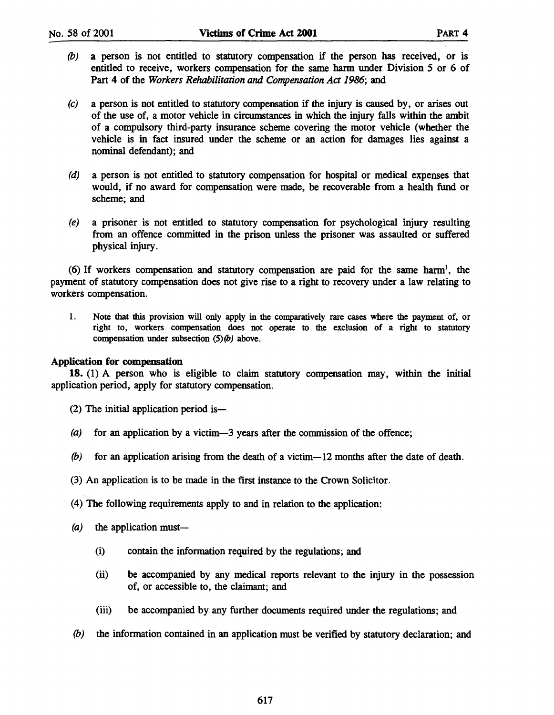- (b) a person is not entitled to statutory compensation if the person has received, or is entitled to receive, workers compensation for the same harm under Division 5 or 6 of Part 4 of the *Workers Rehabilitation and Compensation Act* 1986; and
- (c) a person is not entitled to statutory compensation if the injury is caused by, or arises out of the use of, a motor vehicle in circumstances in which the injury falls within the ambit of a compulsory third-party insurance scheme covering the motor vehicle (whether the vehicle is in fact insured under the scheme or an action for damages lies against a nominal defendant); and
- (d) a person is not entitled to statutory compensation for hospital or medical expenses that would, if no award for compensation were made, be recoverable from a health fund or scheme; and
- (e) a prisoner is not entitled to statutory compensation for psychological injury resulting from an offence committed in the prison unless the prisoner was assaulted or suffered physical injury.

 $(6)$  If workers compensation and statutory compensation are paid for the same harm<sup>1</sup>, the payment of statutory compensation does not give rise to a right to recovery under a law relating to workers compensation.

1. Note that this provision will only apply in the comparatively rare cases where the payment of, or right to, workers compensation does not operate to the exclusion of a right to statutory compensation under subsection  $(5)(b)$  above.

### Application for compensation

18. (1) A person who is eligible to claim statutory compensation may, within the initial application period, apply for statutory compensation.

 $(2)$  The initial application period is—

- (a) for an application by a victim-3 years after the commission of the offence;
- (b) for an application arising from the death of a victim-12 months after the date of death.
- (3) An application is to be made in the first instance to the Crown Solicitor.
- (4) The following requirements apply to and in relation to the application:
- $(a)$  the application must—
	- (i) contain the information required by the regulations; and
	- (ii) be accompanied by any medical reports relevant to the injury in the possession of, or accessible to, the claimant; and
	- (iii) be accompanied by any further documents required under the regulations; and
- (b) the information contained in an application must be verified by statutory declaration; and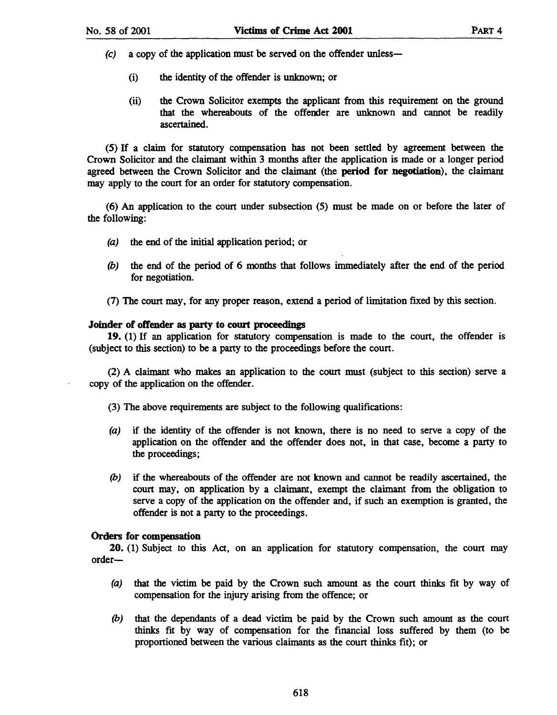- (c) a copy of the application must be served on the offender unless-
	- (i) the identity of the offender is unknown; or
	- (ii) the Crown Solicitor exempts the applicant from this requirement on the ground that the whereabouts of the offender are unknown and cannot be readily ascertained.

(5) If a claim for statutory compensation has not been settled by agreement between the Crown Solicitor and the claimant within 3 months after the application is made or a longer period agreed between the Crown Solicitor and the claimant (the period for negotiation), the claimant may apply to the court for an order for statutory compensation.

(6) An application to the court under subsection (5) must be made on or before the later of the following:

- (a) the end of the initial application period; or
- (b) the end of the period of 6 months that follows immediately after the end of the period for negotiation.
- (7) The court may, for any proper reason, extend a period of limitation fIxed by this section.

#### Joinder of offender as party to court proceedings

19. (1) If an application for statutory compensation is made to the court, the offender is (subject to this section) to be a party to the proceedings before the court.

(2) A claimant who makes an application to the court must (subject to this section) serve a copy of the application on the offender.

(3) The above requirements are subject to the following qualifIcations:

- (a) if the identity of the offender is not known, there is no need to serve a copy of the application on the offender and the offender does not, in that case, become a party to the proceedings;
- (b) if the whereabouts of the offender are not known and cannot be readily ascertained, the court may, on application by a claimant, exempt the claimant from the obligation to serve a copy of the application on the offender and, if such an exemption is granted, the offender is not a party to the proceedings.

### Orders for compensation

20. (1) Subject to this Act, on an application for statutory compensation, the court may order-

- (a) that the victim be paid by the Crown such amount as the court thinks fit by way of compensation for the injury arising from the offence; or
- (b) that the dependants of a dead victim be paid by the Crown such amount as the court thinks fit by way of compensation for the financial loss suffered by them (to be proportioned between the various claimants as the court thinks fit); or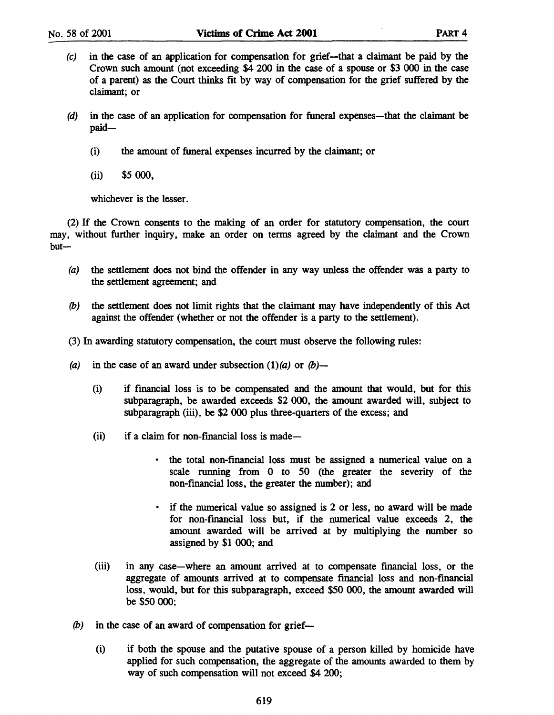- (c) in the case of an application for compensation for grief-that a claimant be paid by the Crown such amount (not exceeding \$4 200 in the case of a spouse or \$3 000 in the case of a parent) as the Court thinks fit by way of compensation for the grief suffered by the claimant; or
- (d) in the case of an application for compensation for funeral expenses-that the claimant be paid-
	- (i) the amount of funeral expenses incurred by the claimant; or
	- (ii) \$5000,

whichever is the lesser.

(2) If the Crown consents to the making of an order for statutory compensation, the court may, without further inquiry, make an order on terms agreed by the claimant and the Crown  $but$ —

- (a) the settlement does not bind the offender in any way unless the offender was a party to the settlement agreement; and
- (b) the settlement does not limit rights that the claimant may have independently of this Act against the offender (whether or not the offender is a party to the settlement).
- (3) In awarding statutory compensation, the court must observe the following rules:
- (a) in the case of an award under subsection  $(1)(a)$  or  $(b)$ -
	- (i) if financial loss is to be compensated and the amount that would, but for this subparagraph, be awarded exceeds \$2000, the amount awarded will, subject to subparagraph (iii), be \$2 000 plus three-quarters of the excess; and
	- $(ii)$  if a claim for non-financial loss is made-
		- the total non-financial loss must be assigned a numerical value on a scale running from 0 to 50 (the greater the severity of the non-financial loss, the greater the number); and
		- if the numerical value so assigned is 2 or less, no award will be made for non-financial loss but, if the numerical value exceeds 2, the amount awarded will be arrived at by multiplying the number so assigned by \$1 000; and
	- (iii) in any case-where an amount arrived at to compensate fmancial loss, or the aggregate of amounts arrived at to compensate financial loss and non-financial loss, would, but for this subparagraph, exceed \$50 000, the amount awarded will be \$50 000;
- $(b)$  in the case of an award of compensation for grief-
	- (i) if both the spouse and the putative spouse of a person killed by homicide have applied for such compensation, the aggregate of the amounts awarded to them by way of such compensation will not exceed \$4 200;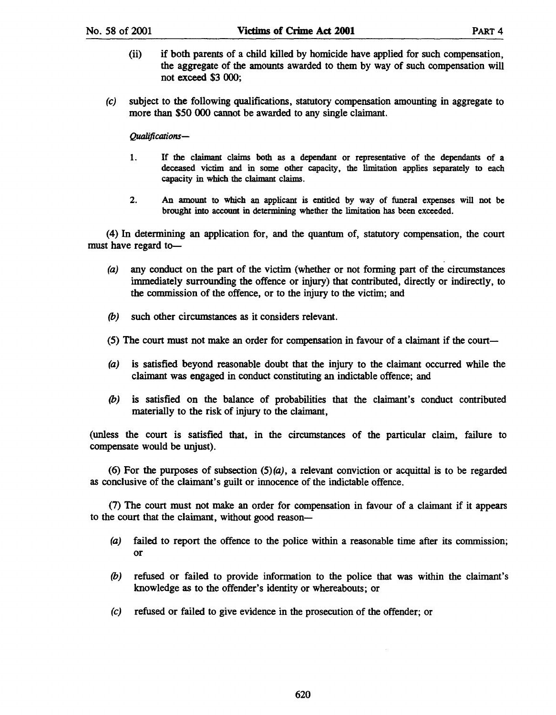- (ii) if both parents of a child killed by homicide have applied for such compensation, the aggregate of the amounts awarded to them by way of such compensation will not exceed \$3 000;
- (e) subject to the following qualifications, statutory compensation amounting in aggregate to more than \$50 000 cannot be awarded to any single claimant.

*Qualificanons-*

- 1. If the claimant claims both as a dependant or representative of the dependants of a deceased victim and in some other capacity, the limitation applies separately to each capacity in which the claimant claims.
- 2. An amount to which an applicant is entitled by way of funeral expenses will not be brought into account in determining whether the limitation has been exceeded.

(4) In determining an application for, and the quantum of, statutory compensation, the court must have regard to-

- (a) any conduct on the part of the victim (whether or not forming part of the circumstances immediately surrounding the offence or injury) that contributed, directly or indirectly, to the commission of the offence, or to the injury to the victim; and
- (b) such other circumstances as it considers relevant.
- (5) The court must not make an order for compensation in favour of a claimant if the court-
- (a) is satisfied beyond reasonable doubt that the injury to the claimant occurred while the claimant was engaged in conduct constituting an indictable offence; and
- (b) is satisfied on the balance of probabilities that the claimant's conduct contributed materially to the risk of injury to the claimant,

(unless the court is satisfied that, in the circumstances of the particular claim, failure to compensate would be unjust).

(6) For the purposes of subsection  $(5)(a)$ , a relevant conviction or acquittal is to be regarded as conclusive of the claimant's guilt or innocence of the indictable offence.

(7) The court must not make an order for compensation in favour of a claimant if it appears to the court that the claimant, without good reason-

- (a) failed to report the offence to the police within a reasonable time after its commission; or
- (b) refused or failed to provide information to the police that was within the claimant's knowledge as to the offender's identity or whereabouts; or
- (e) refused or failed to give evidence in the prosecution of the offender; or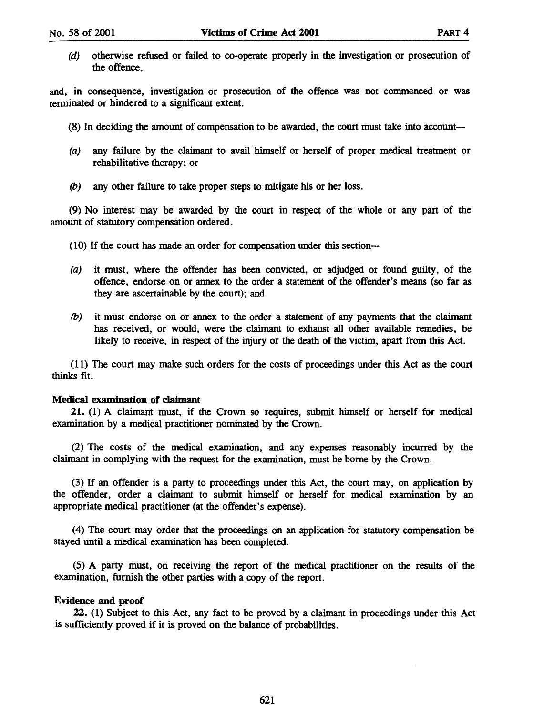(d) otherwise refused or failed to co-operate properly in the investigation or prosecution of the offence,

and, in consequence, investigation or prosecution of the offence was not commenced or was terminated or hindered to a significant extent.

- (8) In deciding the amount of compensation to be awarded, the court must take into account-
- (a) any failure by the claimant to avail himself or herself of proper medical treatment or rehabilitative therapy; or
- (b) any other failure to take proper steps to mitigate his or her loss.

(9) No interest may be awarded by the court in respect of the whole or any part of the amount of statutory compensation ordered.

- (10) If the court has made an order for compensation under this section-
- (a) it must, where the offender has been convicted, or adjudged or found guilty, of the offence, endorse on or annex to the order a statement of the offender's means (so far as they are ascertainable by the court); and
- (b) it must endorse on or annex to the order a statement of any payments that the claimant has received, or would, were the claimant to exhaust all other available remedies, be likely to receive, in respect of the injury or the death of the victim, apart from this Act.

(11) The court may make such orders for the costs of proceedings under this Act as the court thinks fit.

#### Medical examination of claimant

21. (1) A claimant must, if the Crown so requires, submit himself or herself for medical examination by a medical practitioner nominated by the Crown.

(2) The costs of the medical examination, and any expenses reasonably incurred by the claimant in complying with the request for the examination, must be borne by the Crown.

(3) If an offender is a party to proceedings under this Act, the court may, on application by the offender, order a claimant to submit himself or herself for medical examination by an appropriate medical practitioner (at the offender's expense).

(4) The court may order that the proceedings on an application for statutory compensation be stayed until a medical examination has been completed.

(5) A party must, on receiving the report of the medical practitioner on the results of the examination, furnish the other parties with a copy of the report.

### Evidence and proof

22. (1) Subject to this Act, any fact to be proved by a claimant in proceedings under this Act is sufficiently proved if it is proved on the balance of probabilities.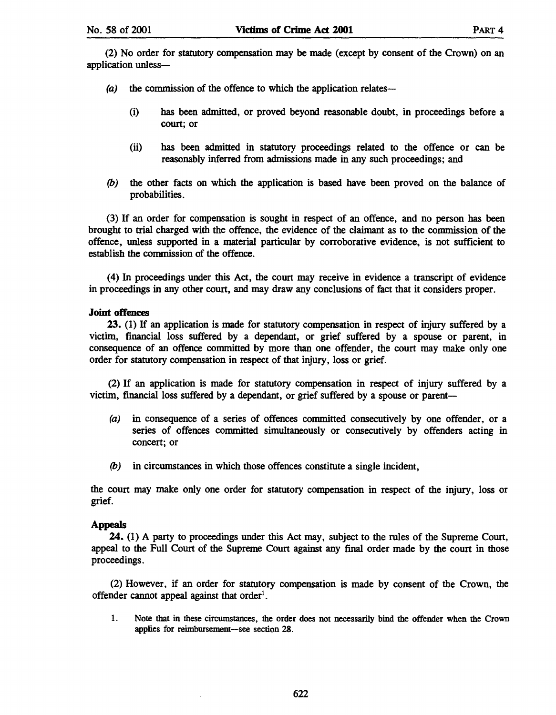(2) No order for statutory compensation may be made (except by consent of the Crown) on an application unless-

- $(a)$  the commission of the offence to which the application relates--
	- (i) has been admitted, or proved beyond reasonable doubt, in proceedings before a court; or
	- (ii) has been admitted in statutory proceedings related to the offence or can be reasonably inferred from admissions made in any such proceedings; and
- (b) the other facts on which the application is based have been proved on the balance of probabilities.

(3) If an order for compensation is sought in respect of an offence, and no person has been brought to trial charged with the offence, the evidence of the claimant as to the commission of the offence, unless supported in a material particular by corroborative evidence, is not sufficient to establish the commission of the offence.

(4) In proceedings under this Act, the court may receive in evidence a transcript of evidence in proceedings in any other court, and may draw any conclusions of fact that it considers proper.

### Joint offences

23. (1) If an application is made for statutory compensation in respect of injury suffered by a victim, fmancial loss suffered by a dependant, or grief suffered by a spouse or parent, in consequence of an offence committed by more than one offender, the court may make only one order for statutory compensation in respect of that injury, loss or grief.

(2) If an application is made for statutory compensation in respect of injury suffered by a victim, financial loss suffered by a dependant, or grief suffered by a spouse or parent-

- (a) in consequence of a series of offences committed consecutively by one offender, or a series of offences committed simultaneously or consecutively by offenders acting in concert; or
- (b) in circumstances in which those offences constitute a single incident,

the court may make only one order for statutory compensation in respect of the injury, loss or grief.

### Appeals

24. (1) A party to proceedings under this Act may, subject to the rules of the Supreme Court, appeal to the Full Court of the Supreme Court against any fInal order made by the court in those proceedings.

(2) However, if an order for statutory compensation is made by consent of the Crown, the offender cannot appeal against that order<sup>1</sup>.

1. Note that in these circumstances, the order does not necessarily bind the offender when the Crown applies for reimbursement-see section 28.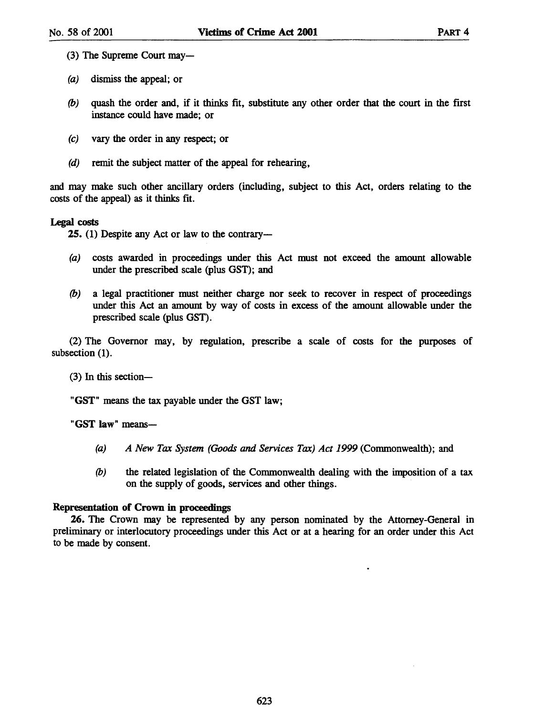- (3) The Supreme Court may—
- (a) dismiss the appeal; or
- *(b)* quash the order and, if it thinks fit, substitute any other order that the court in the first instance could have made; or
- (c) vary the order in any respect; or
- (d) remit the subject matter of the appeal for rehearing,

and may make such other ancillary orders (including, subject to this Act, orders relating to the costs of the appeal) as it thinks fit.

### Legal costs

25. (1) Despite any Act or law to the contrary-

- (a) costs awarded in proceedings under this Act must not exceed the amount allowable under the prescribed scale (plus GST); and
- *(b)* a legal practitioner must neither charge nor seek to recover in respect of proceedings under this Act an amount by way of costs in excess of the amount allowable under the prescribed scale (plus GST).

(2) The Governor may, by regulation, prescribe a scale of costs for the purposes of subsection (1).

 $(3)$  In this section-

"GST" means the tax payable under the GST law;

"GST law" means-

- *(a) A New Tax System (Goods and Services Tax) Act* 1999 (Commonwealth); and
- (b) the related legislation of the Commonwealth dealing with the imposition of a tax on the supply of goods, services and other things.

### Representation of Crown in proceedings

26. The Crown may be represented by any person nominated by the Attorney-General in preliminary or interlocutory proceedings under this Act or at a hearing for an order under this Act to be made by consent.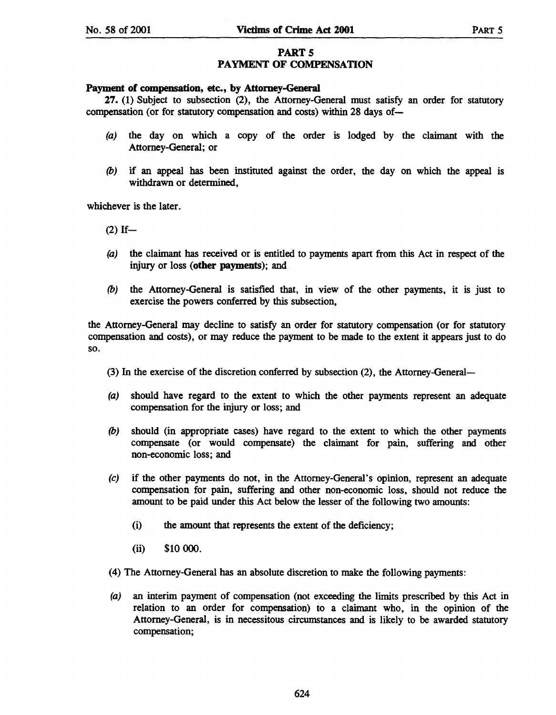## PART<sub>5</sub> PAYMENT OF COMPENSATION

### Payment of compensation, etc., by Attorney-General

27. (1) Subject to subsection (2), the Attorney-General must satisfy an order for statutory compensation (or for statutory compensation and costs) within 28 days of-

- (a) the day on which a copy of the order is lodged by the claimant with the Attorney-General; or
- (b) if an appeal has been instituted against the order, the day on which the appeal is withdrawn or determined,

whichever is the later.

 $(2)$  If-

- (a) the claimant has received or is entitled to payments apart from this Act in respect of the injury or loss (other payments); and
- (b) the Attorney-General is satisfied that, in view of the other payments, it is just to exercise the powers conferred by this subsection,

the Attorney-General may decline to satisfy an order for statutory compensation (or for statutory compensation and costs), or may reduce the payment to be made to the extent it appears just to do so.

(3) In the exercise of the discretion conferred by subsection (2), the Attorney-General-

- (a) should have regard to the extent to which the other payments represent an adequate compensation for the injury or loss; and
- (b) should (in appropriate cases) have regard to the extent to which the other payments compensate (or would compensate) the claimant for pain, suffering and other non-economic loss; and
- (e) if the other payments do not, in the Attorney-General's opinion, represent an adequate compensation for pain, suffering and other non-economic loss, should not reduce the amount to be paid under this Act below the lesser of the following two amounts:
	- (i) the amount that represents the extent of the deficiency;
	- (ii) \$10 000.
- (4) The Attorney-General has an absolute discretion to make the following payments:
- (a) an interim payment of compensation (not exceeding the limits prescribed by this Act in relation to an order for compensation) to a claimant who, in the opinion of the Attorney-General, is in necessitous circumstances and is likely to be awarded statutory compensation;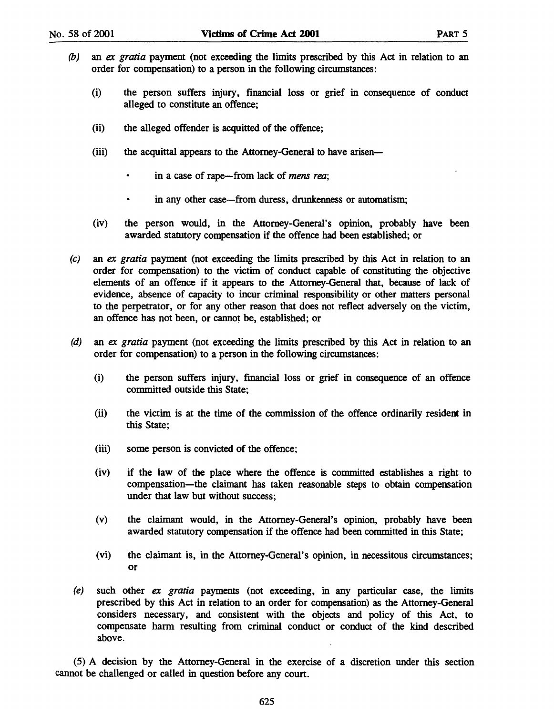- (b) an *ex gratia* payment (not exceeding the limits prescribed by this Act in relation to an order for compensation) to a person in the following circumstances:
	- (i) the person suffers injury, financial loss or grief in consequence of conduct alleged to constitute an offence;
	- (ii) the alleged offender is acquitted of the offence;
	- (iii) the acquittal appears to the Attorney-General to have arisen
		- in a case of rape-from lack of *mens rea*;
		- $\bullet$ in any other case—from duress, drunkenness or automatism;
	- (iv) the person would, in the Attorney-General's opinion, probably have been awarded statutory compensation if the offence had been established; or
- *(e)* an *ex gratia* payment (not exceeding the limits prescribed by this Act in relation to an order for compensation) to the victim of conduct capable of constituting the objective elements of an offence if it appears to the Attorney-General that, because of lack of evidence, absence of capacity to incur criminal responsibility or other matters personal to the perpetrator, or for any other reason that does not reflect adversely on the victim, an offence has not been, or cannot be, established; or
- (d) an *ex gratia* payment (not exceeding the limits prescribed by this Act in relation to an order for compensation) to a person in the following circumstances:
	- (i) the person suffers injury, financial loss or grief in consequence of an offence committed outside this State;
	- (ii) the victim is at the time of the commission of the offence ordinarily resident in this State;
	- (iii) some person is convicted of the offence;
	- (iv) if the law of the place where the offence is committed establishes a right to compensation-the claimant has taken reasonable steps to obtain compensation under that law but without success;
	- (v) the claimant would, in the Attorney-General's OpInIOn, probably have been awarded statutory compensation if the offence had been committed in this State;
	- (vi) the claimant is, in the Attorney-General's opinion, in necessitous circumstances; or
- *(e)* such other *ex gratia* payments (not exceeding, in any particular case, the limits prescribed by this Act in relation to an order for compensation) as the Attorney-General considers necessary, and consistent with the objects and policy of this Act, to compensate harm resulting from criminal conduct or conduct of the kind described above.

(5) A decision by the Attorney-General in the exercise of a discretion under this section cannot be challenged or called in question before any court.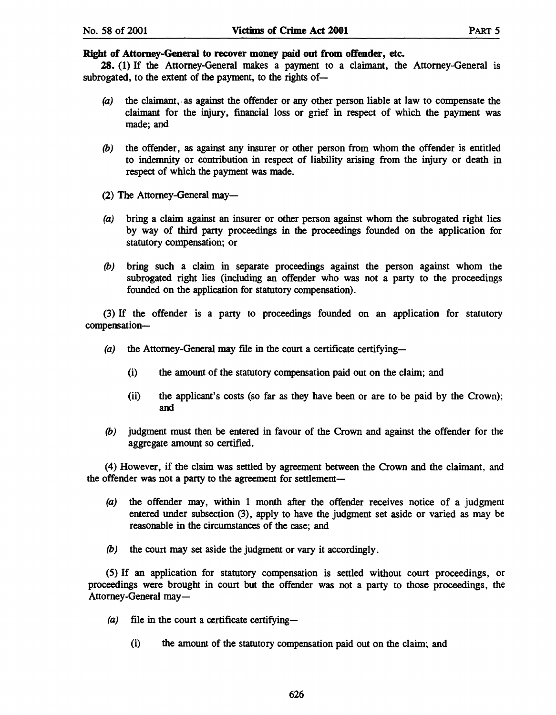28. (1) If the Attorney-General makes a payment to a claimant, the Attorney-General is subrogated, to the extent of the payment, to the rights of-

- (a) the claimant, as against the offender or any other person liable at law to compensate the claimant for the injury, financial loss or grief in respect of which the payment was made; and
- *(b)* the offender, as against any insurer or other person from whom the offender is entitled to indemnity or contribution in respect of liability arising from the injury or death in respect of which the payment was made.
- (2) The Attorney-General may-
- (a) bring a claim against an insurer or other person against whom the subrogated right lies by way of third party proceedings in the proceedings founded on the application for statutory compensation; or
- *(b)* bring such a claim in separate proceedings against the person against whom the subrogated right lies (including an offender who was not a party to the proceedings founded on the application for statutory compensation).

(3) If the offender is a party to proceedings founded on an application for statutory compensation-

- (a) the Attorney-General may file in the court a certificate certifying-
	- (i) the amount of the statutory compensation paid out on the claim; and
	- (ii) the applicant's costs (so far as they have been or are to be paid by the Crown); and
- *(b)* judgment must then be entered in favour of the Crown and against the offender for the aggregate amount so certified.

(4) However, if the claim was settled by agreement between the Crown and the claimant, and the offender was not a party to the agreement for settlement-

- (a) the offender may, within 1 month after the offender receives notice of a judgment entered under subsection (3), apply to have the judgment set aside or varied as may be reasonable in the circumstances of the case; and
- *(b)* the court may set aside the judgment or vary it accordingly.

(5) If an application for statutory compensation is settled without court proceedings, or proceedings were brought in court but the offender was not a party to those proceedings, the Attorney-General may-

- $(a)$  file in the court a certificate certifying-
	- (i) the amount of the statutory compensation paid out on the claim; and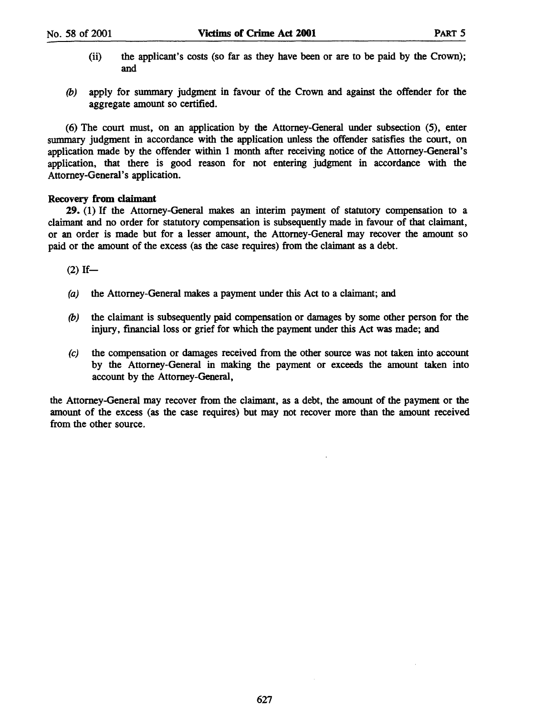- (ii) the applicant's costs (so far as they have been or are to be paid by the Crown); and
- (b) apply for summary judgment in favour of the Crown and against the offender for the aggregate amount so certified.

(6) The court must, on an application by the Attorney-General under subsection (5), enter summary judgment in accordance with the application unless the offender satisfies the court, on application made by the offender within 1 month after receiving notice of the Attorney-General's application, that there is good reason for not entering judgment in accordance with the Attorney-General's application.

### Recovery from claimant

29. (1) If the Attorney-General makes an interim payment of statutory compensation to a claimant and no order for statutory compensation is subsequently made in favour of that claimant, or an order is made but for a lesser amount, the Attorney-General may recover the amount so paid or the amount of the excess (as the case requires) from the claimant as a debt.

 $(2)$  If-

- (a) the Attorney-General makes a payment under this Act to a claimant; and
- $(b)$  the claimant is subsequently paid compensation or damages by some other person for the injury, financial loss or grief for which the payment under this Act was made; and
- (e) the compensation or damages received from the other source was not taken into account by the Attorney-General in making the payment or exceeds the amount taken into account by the Attorney-General,

the Attorney-General may recover from the claimant, as a debt, the amount of the payment or the amount of the excess (as the case requires) but may not recover more than the amount received from the other source.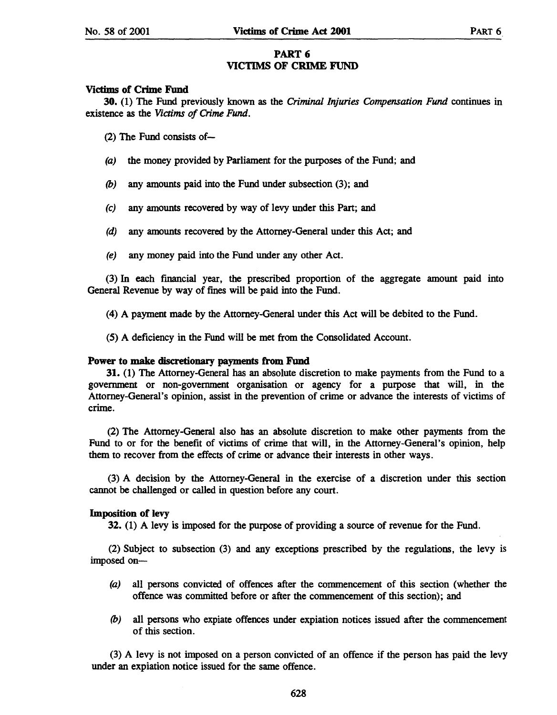### PART 6 VICTIMS OF CRIME FUND

### Victims of Crime Fund

30. (1) The Fund previously known as the *Criminal Injuries Compensation Fund* continues in existence as the *Victims of Crime Fund.* 

(2) The Fund consists of-

- (a) the money provided by Parliament for the purposes of the Fund; and
- *(b)* any amounts paid into the Fund under subsection (3); and
- (e) any amounts recovered by way of levy under this Part; and
- (d) any amounts recovered by the Attorney-General under this Act; and
- (e) any money paid into the Fund under any other Act.

(3) In each fmancial year, the prescribed proportion of the aggregate amount paid into General Revenue by way of fines will be paid into the Fund.

(4) A payment made by the Attorney-General under this Act will be debited to the Fund.

(5) A deficiency in the Fund will be met from the Consolidated Account.

### Power to make discretionary payments from Fund

31. (1) The Attorney-General has an absolute discretion to make payments from the Fund to a government or non-government organisation or agency for a purpose that will, in the Attomey-General's opinion, assist in the prevention of crime or advance the interests of victims of crime.

(2) The Attorney-General also has an absolute discretion to make other payments from the Fund to or for the benefit of victims of crime that will, in the Attorney-General's opinion, help them to recover from the effects of crime or advance their interests in other ways.

(3) A decision by the Attorney-General in the exercise of a discretion under this section cannot be challenged or called in question before any court.

### Imposition of levy

32. (1) A levy is imposed for the purpose of providing a source of revenue for the Fund.

(2) Subject to subsection (3) and any exceptions prescribed by the regulations, the levy is imposed on-

- (a) all persons convicted of offences after the commencement of this section (whether the offence was committed before or after the commencement of this section); and
- *(b)* all persons who expiate offences under expiation notices issued after the commencement of this section.

(3) A levy is not imposed on a person convicted of an offence if the person has paid the levy under an expiation notice issued for the same offence.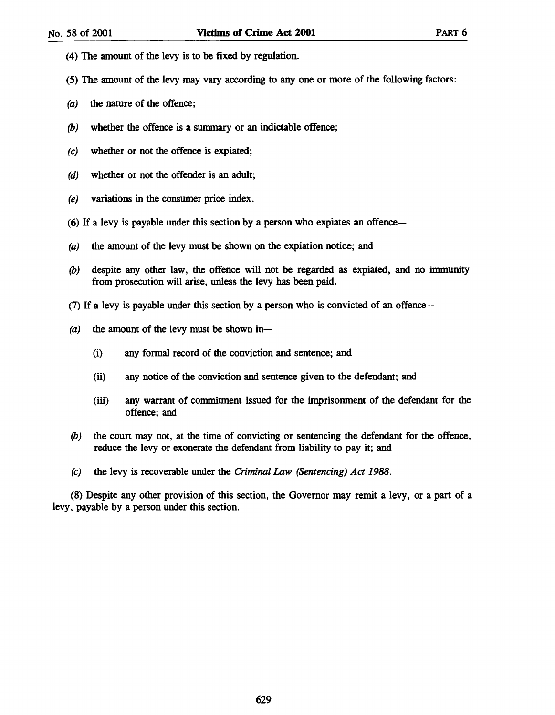- (4) The amount of the levy is to be fixed by regulation.
- (5) The amount of the levy may vary according to anyone or more of the following factors:
- (a) the nature of the offence;
- *(b)* whether the offence is a sununary or an indictable offence;
- (e) whether or not the offence is expiated;
- (d) whether or not the offender is an adult;
- (e) variations in the consumer price index.
- (6) If a levy is payable under this section by a person who expiates an offence-
- (a) the amount of the levy must be shown on the expiation notice; and
- *(b)* despite any other law, the offence will not be regarded as expiated, and no immunity from prosecution will arise, unless the levy has been paid.
- (7) If a levy is payable under this section by a person who is convicted of an offence-
- (a) the amount of the levy must be shown in-
	- (i) any formal record of the conviction and sentence; and
	- (ii) any notice of the conviction and sentence given to the defendant; and
	- (iii) any warrant of conunitment issued for the imprisonment of the defendant for the offence; and
- *(b)* the court may not, at the time of convicting or sentencing the defendant for the offence, reduce the levy or exonerate the defendant from liability to pay it; and
- (e) the levy is recoverable under the Criminal *Law* (Sentencing) Act 1988.

(8) Despite any other provision of this section, the Governor may remit a levy, or a part of a levy, payable by a person under this section.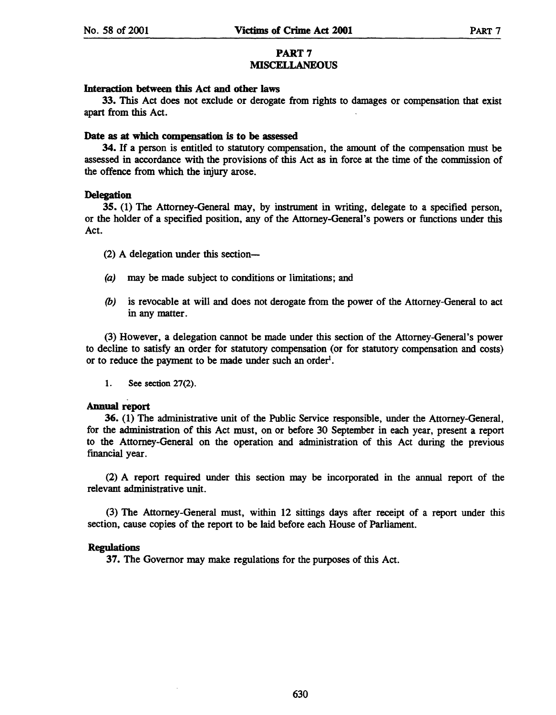### PART 7 MISCELLANEOUS

### Interaction between this Act and other laws

33. This Act does not exclude or derogate from rights to damages or compensation that exist apart from this Act.

### Date as at which compensation is to be assessed

34. If a person is entitled to statutory compensation, the amount of the compensation must be assessed in accordance with the provisions of this Act as in force at the time of the commission of the offence from which the injury arose.

### **Delegation**

35. (1) The Attorney-General may, by instrument in writing, delegate to a specified person, or the holder of a specified position, any of the Attorney-General's powers or functions under this Act.

- (2) A delegation under this section-
- (a) may be made subject to conditions or limitations; and
- *(b)* is revocable at will and does not derogate from the power of the Attorney-General to act in any matter.

(3) However, a delegation cannot be made under this section of the Attorney-General's power to decline to satisfy an order for statutory compensation (or for statutory compensation and costs) or to reduce the payment to be made under such an order<sup>1</sup>.

1. See section 27(2).

### Annual report

36. (1) The administrative unit of the Public Service responsible, under the Attorney-General, for the administration of this Act must, on or before 30 September in each year, present a report to the Attorney-General on the operation and administration of this Act during the previous financial year.

(2) A report required under this section may be incorporated in the annual report of the relevant administrative unit.

(3) The Attorney-General must, within 12 sittings days after receipt of a report under this section, cause copies of the report to be laid before each House of Parliament.

### Regulations

37. The Governor may make regulations for the purposes of this Act.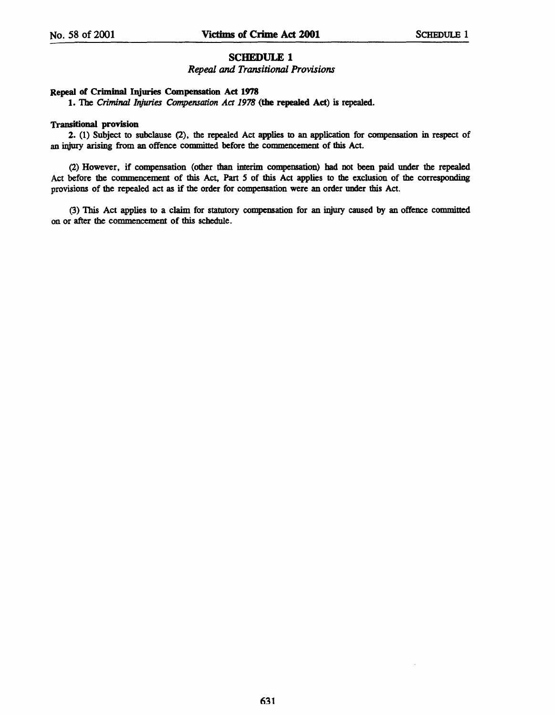### SCHEDULE 1

#### *Repeal* and *Transitional Provisions*

#### Repeal of Criminal Injuries Compensation Act 1978

1. The *Criminal Injuries Compensation Act* 1978 (the repealed Act) is repealed.

#### **Transitional provision**

2. (1) Subject to subclause (2), the repealed Act applies to an application for compensation in respect of an injury arising from an offence committed before the commencement of this Act.

(2) However, if compensation (other than interim compensation) had not been paid under the repealed Act before the commencement of this Act, Part *5* of this Act applies to the exclusion of the corresponding provisions of the repealed act as if the order for compensation were an order under this Act.

(3) This Act applies to a claim for statutory compensation for an injury caused by an offence committed on or after the commencement of this schedule.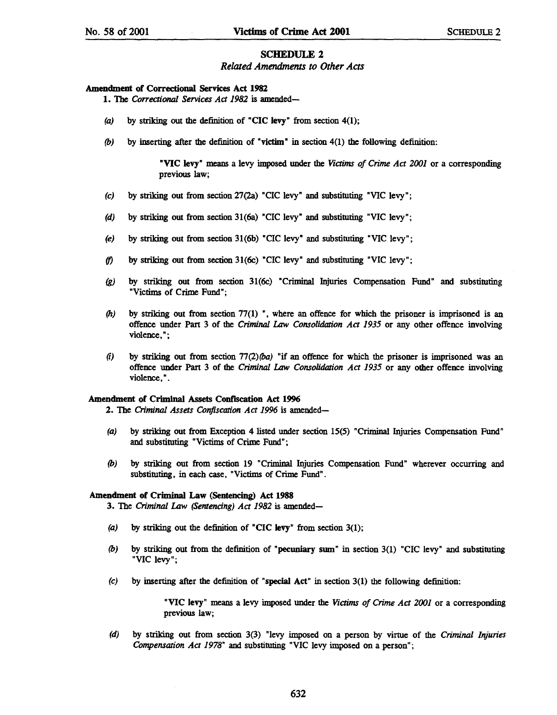#### SCHEDULE 2

*Related Amendments to Other Acts* 

#### Amendment of Correctional Services Act 1982

1. The *Correctional Services Act 1982* is amended-

- (a) by striking out the definition of "CIC levy" from section  $4(1)$ ;
- *(b)* by inserting after the definition of "victim" in section 4(1) the following definition:

"VIC levy" means a levy imposed under the *Victims of Crime Act 2001* or a corresponding previous law;

- (c) by striking out from section 27(2a) "CIC levy" and substituting "VIC levy";
- (d) by striking out from section 31(6a) "CIC levy" and substituting "VIC levy";
- (e) by striking out from section 31(6b) "CIC levy" and substituting "VIC levy";
- (f) by striking out from section  $31(6c)$  "CIC levy" and substituting "VIC levy";
- *(g)* by striking out from section 31(6c) "Criminal Injuries Compensation Fund" and substituting "Victims of Crime Fund";
- *(h)* by striking out from section 77(1) ", where an offence for which the prisoner is imprisoned is an offence under Part 3 of the *Criminal Law Consolidation Act* 1935 or any other offence involving violence, ";
- (i) by striking out from section *TI(2)(ba)* "if an offence for which the prisoner is imprisoned was an offence under Part 3 of the *Criminal Law Consolidation Act* 1935 or any other offence involving violence,".

#### Amendment of Criminal Assets Confiscation Act 1996

2. The *Criminal Assets Confiscation Act* 1996 is amended-

- (a) by striking out from Exception 4 listed under section 15(5) "Criminal Injuries Compensation Fund" and substituting "Victims of Crime Fund";
- *(b)* by striking out from section 19 "Criminal Injuries Compensation Fund" wherever occurring and substituting, in each case, "Victims of Crime Fund".

#### Amendment of Criminal Law (Sentencing) Act 1988

3. The *Criminal Law (Sentencing) Act* 1982 is amended-

- (a) by striking out the definition of "CIC levy" from section  $3(1)$ ;
- *(b)* by striking out from the definition of "pecuniary swn" in section 3(1) "CIC levy" and substituting "VIC levy";
- $(c)$  by inserting after the definition of "special Act" in section  $3(1)$  the following definition:

"VIC levy" means a levy imposed under the *Victims of Crime Act 2001* or a corresponding previous law;

*(d)* by striking out from section 3(3) "levy imposed on a person by virtue of the *Criminal Injuries Compensation Act* 1978" and substituting "VIC levy imposed on a person";